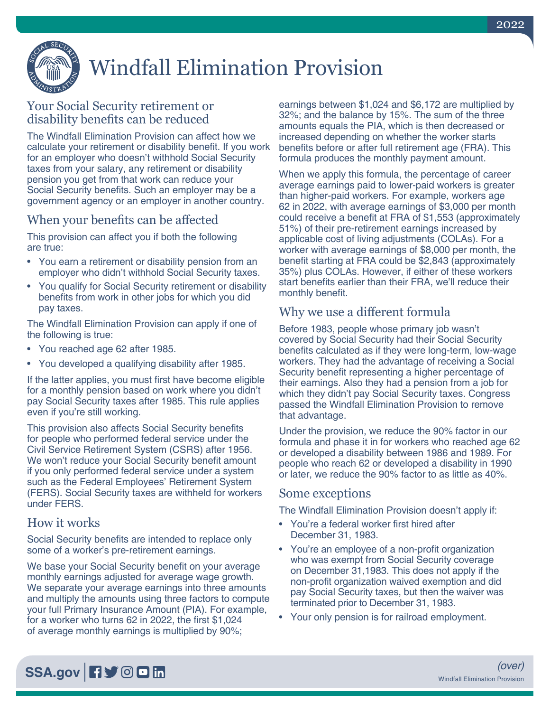

# Windfall Elimination Provision

## Your Social Security retirement or disability benefits can be reduced

The Windfall Elimination Provision can affect how we calculate your retirement or disability benefit. If you work for an employer who doesn't withhold Social Security taxes from your salary, any retirement or disability pension you get from that work can reduce your Social Security benefits. Such an employer may be a government agency or an employer in another country.

## When your benefits can be affected

This provision can affect you if both the following are true:

- You earn a retirement or disability pension from an employer who didn't withhold Social Security taxes.
- You qualify for Social Security retirement or disability benefits from work in other jobs for which you did pay taxes.

The Windfall Elimination Provision can apply if one of the following is true:

- You reached age 62 after 1985.
- You developed a qualifying disability after 1985.

If the latter applies, you must first have become eligible for a monthly pension based on work where you didn't pay Social Security taxes after 1985. This rule applies even if you're still working.

This provision also affects Social Security benefits for people who performed federal service under the Civil Service Retirement System (CSRS) after 1956. We won't reduce your Social Security benefit amount if you only performed federal service under a system such as the Federal Employees' Retirement System (FERS). Social Security taxes are withheld for workers under FERS.

### How it works

Social Security benefits are intended to replace only some of a worker's pre-retirement earnings.

We base your Social Security benefit on your average monthly earnings adjusted for average wage growth. We separate your average earnings into three amounts and multiply the amounts using three factors to compute your full Primary Insurance Amount (PIA). For example, for a worker who turns 62 in 2022, the first \$1,024 of average monthly earnings is multiplied by 90%;

earnings between \$1,024 and \$6,172 are multiplied by 32%; and the balance by 15%. The sum of the three amounts equals the PIA, which is then decreased or increased depending on whether the worker starts benefits before or after full retirement age (FRA). This formula produces the monthly payment amount.

When we apply this formula, the percentage of career average earnings paid to lower-paid workers is greater than higher-paid workers. For example, workers age 62 in 2022, with average earnings of \$3,000 per month could receive a benefit at FRA of \$1,553 (approximately 51%) of their pre-retirement earnings increased by applicable cost of living adjustments (COLAs). For a worker with average earnings of \$8,000 per month, the benefit starting at FRA could be \$2,843 (approximately 35%) plus COLAs. However, if either of these workers start benefits earlier than their FRA, we'll reduce their monthly benefit.

### Why we use a different formula

Before 1983, people whose primary job wasn't covered by Social Security had their Social Security benefits calculated as if they were long-term, low-wage workers. They had the advantage of receiving a Social Security benefit representing a higher percentage of their earnings. Also they had a pension from a job for which they didn't pay Social Security taxes. Congress passed the Windfall Elimination Provision to remove that advantage.

Under the provision, we reduce the 90% factor in our formula and phase it in for workers who reached age 62 or developed a disability between 1986 and 1989. For people who reach 62 or developed a disability in 1990 or later, we reduce the 90% factor to as little as 40%.

#### Some exceptions

The Windfall Elimination Provision doesn't apply if:

- You're a federal worker first hired after December 31, 1983.
- You're an employee of a non-profit organization who was exempt from Social Security coverage on December 31,1983. This does not apply if the non-profit organization waived exemption and did pay Social Security taxes, but then the waiver was terminated prior to December 31, 1983.
- Your only pension is for railroad employment.